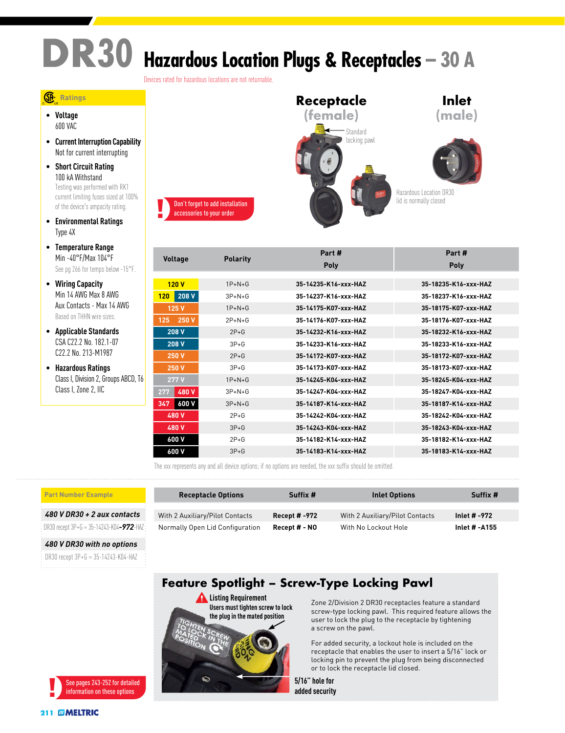# **DR30 Hazardous Location Plugs & Receptacles – 30 A**

Devices rated for hazardous locations are not returnable.

#### **Ratings**

• **Voltage** 600 VAC

- **Current Interruption Capability** Not for current interrupting
- **Short Circuit Rating** 100 kA Withstand Testing was performed with RK1 current limiting fuses sized at 100% of the device's ampacity rating.
- **Environmental Ratings** Type 4X
- **Temperature Range** Min -40°F/Max 104°F See pg 266 for temps below -15°F.
- **Wiring Capacity** Min 14 AWG Max 8 AWG Aux Contacts - Max 14 AWG Based on THHN wire sizes.
- **Applicable Standards** CSA C22.2 No. 182.1-07 C22.2 No. 213-M1987
- **Hazardous Ratings** Class I, Division 2, Groups ABCD, T6 Class I, Zone 2, IIC



|                |                 | Part #               | Part #               |
|----------------|-----------------|----------------------|----------------------|
| <b>Voltage</b> | <b>Polarity</b> | <b>Poly</b>          | Poly                 |
|                |                 |                      |                      |
| 120V           | $1P+N+G$        | 35-14235-K16-xxx-HAZ | 35-18235-K16-xxx-HAZ |
| 208 V<br>120   | $3P+N+G$        | 35-14237-K16-xxx-HAZ | 35-18237-K16-xxx-HAZ |
| 125 V          | $1P+N+G$        | 35-14175-K07-xxx-HAZ | 35-18175-K07-xxx-HAZ |
| 250 V<br>125   | $2P + N + G$    | 35-14176-K07-yyy-HA7 | 35-18176-K07-xxx-HA7 |
| 208 V          | $2P+G$          | 35-14232-K16-xxx-HAZ | 35-18232-K16-xxx-HAZ |
| 208 V          | $3P+G$          | 35-14233-K16-xxx-HAZ | 35-18233-K16-xxx-HAZ |
| <b>250 V</b>   | $2P+G$          | 35-14172-K07-xxx-HAZ | 35-18172-K07-xxx-HAZ |
| 250 V          | $3P + G$        | 35-14173-K07-xxx-HAZ | 35-18173-K07-xxx-HAZ |
| 277 V          | $1P+N+G$        | 35-14245-K04-xxx-HAZ | 35-18245-K04-xxx-HAZ |
| 480 V<br>277   | $3P+N+G$        | 35-14247-K04-xxx-HAZ | 35-18247-K04-xxx-HAZ |
| 600 V<br>347   | $3P+N+G$        | 35-14187-K14-xxx-HAZ | 35-18187-K14-xxx-HAZ |
| 480 V          | $2P+G$          | 35-14242-K04-xxx-HAZ | 35-18242-K04-xxx-HAZ |
| 480 V          | $3P+G$          | 35-14243-K04-xxx-HAZ | 35-18243-K04-xxx-HAZ |
| 600 V          | $2P+G$          | 35-14182-K14-xxx-HAZ | 35-18182-K14-xxx-HAZ |
| 600 V          | $3P + G$        | 35-14183-K14-xxx-HAZ | 35-18183-K14-xxx-HAZ |

The xxx represents any and all device options; if no options are needed, the xxx suffix should be omitted.

#### **Part Number Example**

*480 V DR30 + 2 aux contacts*

DR30 recept 3P+G = 35-14243-K04*-972*-HAZ

*480 V DR30 with no options*

DR30 recept 3P+G = 35-14243-K04-HAZ



### **Receptacle Options Suffix # Inlet Options Suffix #** With 2 Auxiliary/Pilot Contacts **Recept # -972** With 2 Auxiliary/Pilot Contacts **Inlet # -972** Normally Open Lid Configuration **Recept # - NO** With No Lockout Hole **Inlet # -A155**

## **Feature Spotlight – Screw-Type Locking Pawl**



Zone 2/Division 2 DR30 receptacles feature a standard screw-type locking pawl. This required feature allows the user to lock the plug to the receptacle by tightening a screw on the pawl.

For added security, a lockout hole is included on the receptacle that enables the user to insert a 5/16" lock or locking pin to prevent the plug from being disconnected or to lock the receptacle lid closed.

**5/16" hole for added security**